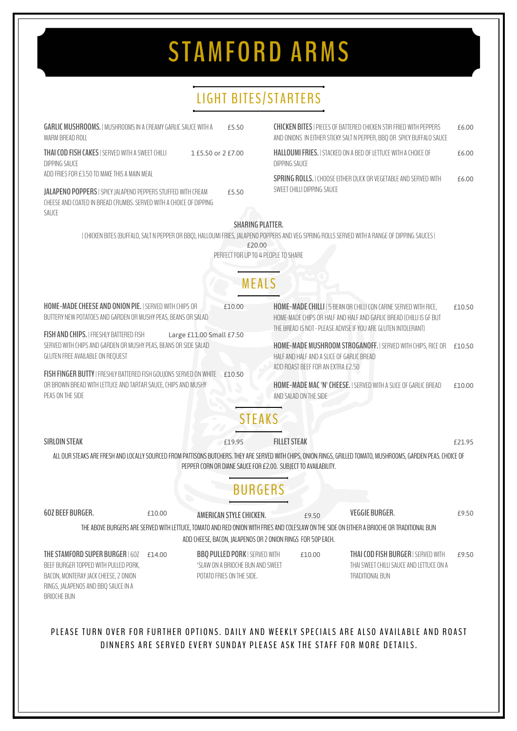## **S TAMFORD ARMS**

## LIGHT BITES/STARTERS

| <b>GARLIC MUSHROOMS.</b>   MUSHROOMS IN A CREAMY GARLIC SAUCE WITH A<br>WARM BREAD ROLL                                                                          |                          | £5.50                                                                                         |                                                                 | <b>CHICKEN BITES   PIECES OF BATTERED CHICKEN STIR FRIED WITH PEPPERS</b><br>AND ONIONS IN EITHER STICKY SALT N PEPPER, BBQ OR SPICY BUFFALO SAUCE | £6.00  |  |  |  |
|------------------------------------------------------------------------------------------------------------------------------------------------------------------|--------------------------|-----------------------------------------------------------------------------------------------|-----------------------------------------------------------------|----------------------------------------------------------------------------------------------------------------------------------------------------|--------|--|--|--|
| THAI COD FISH CAKES   SERVED WITH A SWEET CHILLI<br><b>DIPPING SAUCE</b>                                                                                         | 1 £5.50 or 2 £7.00       | <b>HALLOUMI FRIES.   STACKED ON A BED OF LETTUCE WITH A CHOICE OF</b><br><b>DIPPING SAUCE</b> |                                                                 | £6.00                                                                                                                                              |        |  |  |  |
| ADD FRIES FOR £3.50 TO MAKE THIS A MAIN MEAL                                                                                                                     |                          |                                                                                               |                                                                 | <b>SPRING ROLLS.</b> I CHOOSE FITHER DUCK OR VEGETABLE AND SERVED WITH                                                                             |        |  |  |  |
| JALAPENO POPPERS   SPICY JALAPENO PEPPERS STUFFED WITH CREAM<br>CHEESE AND COATED IN BREAD CRUMBS. SERVED WITH A CHOICE OF DIPPING<br>SAUCE                      |                          | £5.50                                                                                         | SWEET CHILLI DIPPING SAUCE                                      |                                                                                                                                                    | £6.00  |  |  |  |
|                                                                                                                                                                  |                          | <b>SHARING PLATTER.</b>                                                                       |                                                                 |                                                                                                                                                    |        |  |  |  |
|                                                                                                                                                                  |                          |                                                                                               |                                                                 | CHICKEN BITES (BUFFALO, SALT N PEPPER OR BBO), HALLOUMI FRIES, JALAPENO POPPERS AND VEG SPRING ROLLS SERVED WITH A RANGE OF DIPPING SAUCES         |        |  |  |  |
|                                                                                                                                                                  |                          | £20.00                                                                                        |                                                                 |                                                                                                                                                    |        |  |  |  |
|                                                                                                                                                                  |                          | PERFECT FOR UP TO 4 PEOPLE TO SHARE                                                           |                                                                 |                                                                                                                                                    |        |  |  |  |
|                                                                                                                                                                  |                          |                                                                                               |                                                                 |                                                                                                                                                    |        |  |  |  |
|                                                                                                                                                                  |                          | MEALS                                                                                         |                                                                 |                                                                                                                                                    |        |  |  |  |
| HOME-MADE CHEESE AND ONION PIE.   SERVED WITH CHIPS OR                                                                                                           |                          | £10.00                                                                                        | HOME-MADE CHILLI   5 BEAN OR CHILLI CON CARNE SERVED WITH RICE, |                                                                                                                                                    | £10.50 |  |  |  |
| BUTTERY NEW POTATOES AND GARDEN OR MUSHY PEAS, BEANS OR SALAD                                                                                                    |                          | HOME-MADE CHIPS OR HALF AND HALF AND GARLIC BREAD (CHILLI IS GF BUT                           |                                                                 |                                                                                                                                                    |        |  |  |  |
|                                                                                                                                                                  |                          | THE BREAD IS NOT - PLEASE ADVISE IF YOU ARE GLUTEN INTOLERANT)                                |                                                                 |                                                                                                                                                    |        |  |  |  |
| FISH AND CHIPS.   FRESHLY BATTERED FISH                                                                                                                          | Large £11.00 Small £7.50 |                                                                                               |                                                                 |                                                                                                                                                    |        |  |  |  |
| SERVED WITH CHIPS AND GARDEN OR MUSHY PEAS, BEANS OR SIDE SALAD                                                                                                  |                          |                                                                                               | HOME-MADE MUSHROOM STROGANOFF.   SERVED WITH CHIPS, RICE OR     | £10.50                                                                                                                                             |        |  |  |  |
| GLUTEN FREE AVAILABLE ON REQUEST                                                                                                                                 |                          | HALF AND HALF AND A SLICE OF GARLIC BREAD<br>ADD ROAST BEEF FOR AN EXTRA £2.50                |                                                                 |                                                                                                                                                    |        |  |  |  |
| FISH FINGER BUTTY   FRESHLY BATTERED FISH GOUJONS SERVED ON WHITE                                                                                                |                          | £10.50                                                                                        |                                                                 |                                                                                                                                                    |        |  |  |  |
| OR BROWN BREAD WITH LETTUCE AND TARTAR SAUCE, CHIPS AND MUSHY                                                                                                    |                          |                                                                                               | HOME-MADE MAC 'N' CHEESE.   SERVED WITH A SLICE OF GARLIC BREAD |                                                                                                                                                    | £10.00 |  |  |  |
| PEAS ON THE SIDE                                                                                                                                                 |                          | AND SALAD ON THE SIDE                                                                         |                                                                 |                                                                                                                                                    |        |  |  |  |
|                                                                                                                                                                  |                          |                                                                                               |                                                                 |                                                                                                                                                    |        |  |  |  |
|                                                                                                                                                                  |                          | <b>STEAKS</b>                                                                                 |                                                                 |                                                                                                                                                    |        |  |  |  |
|                                                                                                                                                                  |                          |                                                                                               |                                                                 |                                                                                                                                                    |        |  |  |  |
| <b>SIRLOIN STEAK</b>                                                                                                                                             |                          | £19.95                                                                                        | <b>FILLET STEAK</b>                                             |                                                                                                                                                    | £21.95 |  |  |  |
| ALL OUR STEAKS ARE FRESH AND LOCALLY SOURCED FROM PATTISONS BUTCHERS. THEY ARE SERVED WITH CHIPS, ONION RINGS, GRILLED TOMATO, MUSHROOMS, GARDEN PEAS. CHOICE OF |                          |                                                                                               |                                                                 |                                                                                                                                                    |        |  |  |  |
|                                                                                                                                                                  |                          |                                                                                               | PEPPER CORN OR DIANE SAUCE FOR £2.00. SUBJECT TO AVAILABILITY.  |                                                                                                                                                    |        |  |  |  |
|                                                                                                                                                                  |                          |                                                                                               |                                                                 |                                                                                                                                                    |        |  |  |  |
|                                                                                                                                                                  |                          | BURGERS                                                                                       |                                                                 |                                                                                                                                                    |        |  |  |  |
|                                                                                                                                                                  |                          |                                                                                               |                                                                 |                                                                                                                                                    |        |  |  |  |
| 60Z BEEF BURGER.                                                                                                                                                 | £10.00                   | AMERICAN STYLE CHICKEN.                                                                       | £9.50                                                           | <b>VEGGIE BURGER.</b>                                                                                                                              | £9.50  |  |  |  |
|                                                                                                                                                                  |                          |                                                                                               |                                                                 | THE ABOVE BURGERS ARE SERVED WITH LETTUCE, TOMATO AND RED ONION WITH FRIES AND COLESLAW ON THE SIDE ON EITHER A BRIOCHE OR TRADITIONAL BUN         |        |  |  |  |
|                                                                                                                                                                  |                          |                                                                                               | ADD CHEESE, BACON, JALAPENOS OR 2 ONION RINGS FOR 50P EACH.     |                                                                                                                                                    |        |  |  |  |
| THE STAMFORD SUPER BURGER   60Z                                                                                                                                  | £14.00                   | <b>BBQ PULLED PORK   SERVED WITH</b>                                                          | £10.00                                                          | <b>THAI COD FISH BURGER   SERVED WITH</b>                                                                                                          | £9.50  |  |  |  |
| BEEF BURGER TOPPED WITH PULLED PORK,                                                                                                                             |                          | 'SLAW ON A BRIOCHE BUN AND SWEET                                                              |                                                                 | THAI SWEET CHILLI SAUCE AND LETTUCE ON A                                                                                                           |        |  |  |  |
| BACON, MONTERAY JACK CHEESE, 2 ONION                                                                                                                             |                          | POTATO FRIES ON THE SIDE.                                                                     | TRADITIONAL BUN                                                 |                                                                                                                                                    |        |  |  |  |
| RINGS, JALAPENOS AND BBQ SAUCE IN A                                                                                                                              |                          |                                                                                               |                                                                 |                                                                                                                                                    |        |  |  |  |
| <b>BRIOCHE BUN</b>                                                                                                                                               |                          |                                                                                               |                                                                 |                                                                                                                                                    |        |  |  |  |
|                                                                                                                                                                  |                          |                                                                                               |                                                                 |                                                                                                                                                    |        |  |  |  |
|                                                                                                                                                                  |                          |                                                                                               |                                                                 |                                                                                                                                                    |        |  |  |  |
|                                                                                                                                                                  |                          |                                                                                               |                                                                 | PLEASE TURN OVER FOR FURTHER OPTIONS. DAILY AND WEEKLY SPECIALS ARE ALSO AVAILABLE AND ROAST                                                       |        |  |  |  |
|                                                                                                                                                                  |                          |                                                                                               |                                                                 | DINNERS ARE SERVED EVERY SUNDAY PLEASE ASK THE STAFF FOR MORE DETAILS.                                                                             |        |  |  |  |
|                                                                                                                                                                  |                          |                                                                                               |                                                                 |                                                                                                                                                    |        |  |  |  |
|                                                                                                                                                                  |                          |                                                                                               |                                                                 |                                                                                                                                                    |        |  |  |  |
|                                                                                                                                                                  |                          |                                                                                               |                                                                 |                                                                                                                                                    |        |  |  |  |